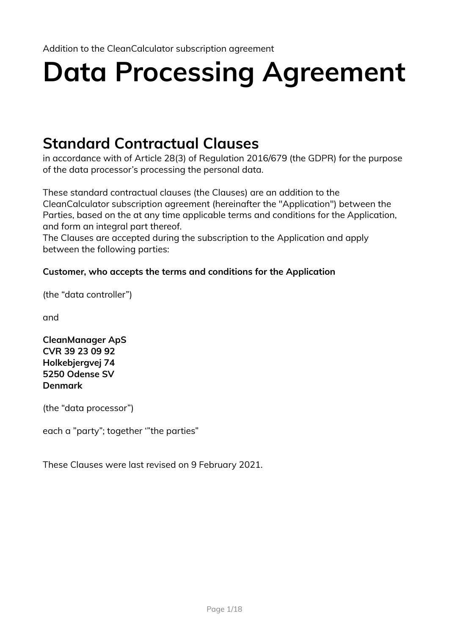# **Data Processing Agreement**

# **Standard Contractual Clauses**

in accordance with of Article 28(3) of Regulation 2016/679 (the GDPR) for the purpose of the data processor's processing the personal data.

These standard contractual clauses (the Clauses) are an addition to the CleanCalculator subscription agreement (hereinafter the "Application") between the Parties, based on the at any time applicable terms and conditions for the Application, and form an integral part thereof.

The Clauses are accepted during the subscription to the Application and apply between the following parties:

#### **Customer, who accepts the terms and conditions for the Application**

(the "data controller")

and

**CleanManager ApS CVR 39 23 09 92 Holkebjergvej 74 5250 Odense SV Denmark**

(the "data processor")

each a "party"; together '"the parties"

These Clauses were last revised on 9 February 2021.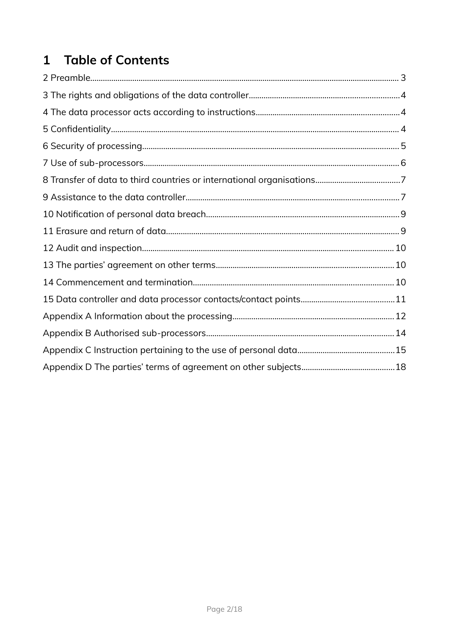# 1 Table of Contents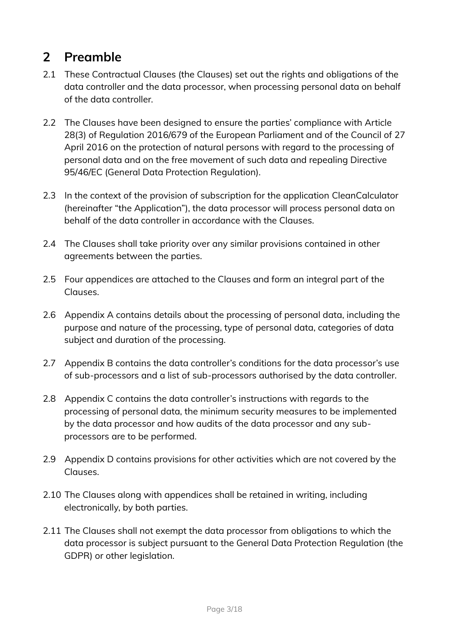# <span id="page-2-0"></span>**2 Preamble**

- 2.1 These Contractual Clauses (the Clauses) set out the rights and obligations of the data controller and the data processor, when processing personal data on behalf of the data controller.
- 2.2 The Clauses have been designed to ensure the parties' compliance with Article 28(3) of Regulation 2016/679 of the European Parliament and of the Council of 27 April 2016 on the protection of natural persons with regard to the processing of personal data and on the free movement of such data and repealing Directive 95/46/EC (General Data Protection Regulation).
- 2.3 In the context of the provision of subscription for the application CleanCalculator (hereinafter "the Application"), the data processor will process personal data on behalf of the data controller in accordance with the Clauses.
- 2.4 The Clauses shall take priority over any similar provisions contained in other agreements between the parties.
- 2.5 Four appendices are attached to the Clauses and form an integral part of the Clauses.
- 2.6 Appendix A contains details about the processing of personal data, including the purpose and nature of the processing, type of personal data, categories of data subject and duration of the processing.
- 2.7 Appendix B contains the data controller's conditions for the data processor's use of sub-processors and a list of sub-processors authorised by the data controller.
- 2.8 Appendix C contains the data controller's instructions with regards to the processing of personal data, the minimum security measures to be implemented by the data processor and how audits of the data processor and any subprocessors are to be performed.
- 2.9 Appendix D contains provisions for other activities which are not covered by the Clauses.
- 2.10 The Clauses along with appendices shall be retained in writing, including electronically, by both parties.
- 2.11 The Clauses shall not exempt the data processor from obligations to which the data processor is subject pursuant to the General Data Protection Regulation (the GDPR) or other legislation.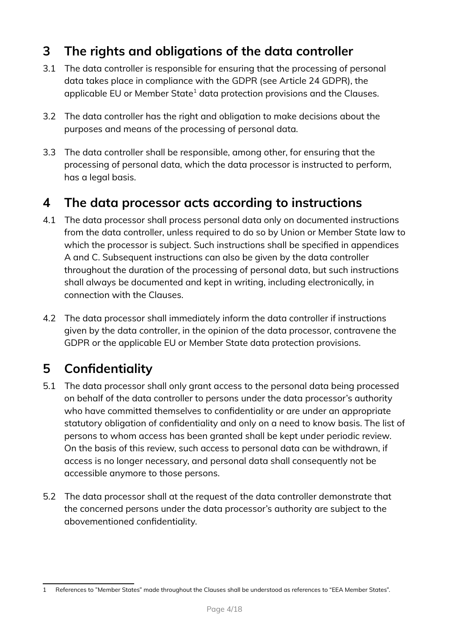# <span id="page-3-2"></span>**3 The rights and obligations of the data controller**

- 3.1 The data controller is responsible for ensuring that the processing of personal data takes place in compliance with the GDPR (see Article 24 GDPR), the applicable EU or Member State $^{\rm 1}$  $^{\rm 1}$  $^{\rm 1}$  data protection provisions and the Clauses.
- 3.2 The data controller has the right and obligation to make decisions about the purposes and means of the processing of personal data.
- 3.3 The data controller shall be responsible, among other, for ensuring that the processing of personal data, which the data processor is instructed to perform, has a legal basis.

### <span id="page-3-1"></span>**4 The data processor acts according to instructions**

- 4.1 The data processor shall process personal data only on documented instructions from the data controller, unless required to do so by Union or Member State law to which the processor is subject. Such instructions shall be specified in appendices A and C. Subsequent instructions can also be given by the data controller throughout the duration of the processing of personal data, but such instructions shall always be documented and kept in writing, including electronically, in connection with the Clauses.
- 4.2 The data processor shall immediately inform the data controller if instructions given by the data controller, in the opinion of the data processor, contravene the GDPR or the applicable EU or Member State data protection provisions.

# <span id="page-3-0"></span>**5 Confidentiality**

- 5.1 The data processor shall only grant access to the personal data being processed on behalf of the data controller to persons under the data processor's authority who have committed themselves to confidentiality or are under an appropriate statutory obligation of confidentiality and only on a need to know basis. The list of persons to whom access has been granted shall be kept under periodic review. On the basis of this review, such access to personal data can be withdrawn, if access is no longer necessary, and personal data shall consequently not be accessible anymore to those persons.
- 5.2 The data processor shall at the request of the data controller demonstrate that the concerned persons under the data processor's authority are subject to the abovementioned confidentiality.

<span id="page-3-3"></span><sup>1</sup> References to "Member States" made throughout the Clauses shall be understood as references to "EEA Member States".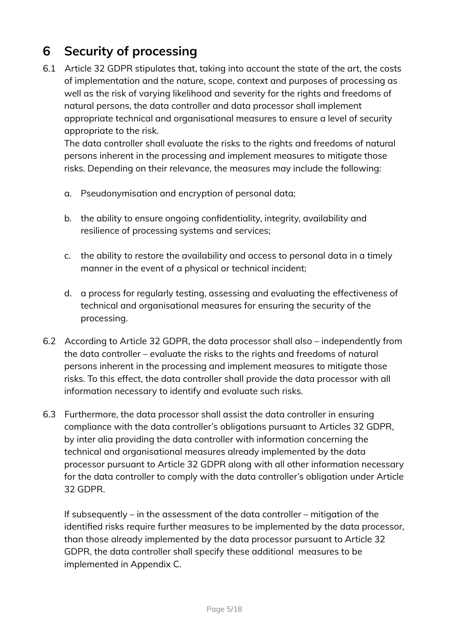# <span id="page-4-0"></span>**6 Security of processing**

6.1 Article 32 GDPR stipulates that, taking into account the state of the art, the costs of implementation and the nature, scope, context and purposes of processing as well as the risk of varying likelihood and severity for the rights and freedoms of natural persons, the data controller and data processor shall implement appropriate technical and organisational measures to ensure a level of security appropriate to the risk.

The data controller shall evaluate the risks to the rights and freedoms of natural persons inherent in the processing and implement measures to mitigate those risks. Depending on their relevance, the measures may include the following:

- a. Pseudonymisation and encryption of personal data;
- b. the ability to ensure ongoing confidentiality, integrity, availability and resilience of processing systems and services;
- c. the ability to restore the availability and access to personal data in a timely manner in the event of a physical or technical incident;
- d. a process for regularly testing, assessing and evaluating the effectiveness of technical and organisational measures for ensuring the security of the processing.
- 6.2 According to Article 32 GDPR, the data processor shall also independently from the data controller – evaluate the risks to the rights and freedoms of natural persons inherent in the processing and implement measures to mitigate those risks. To this effect, the data controller shall provide the data processor with all information necessary to identify and evaluate such risks.
- 6.3 Furthermore, the data processor shall assist the data controller in ensuring compliance with the data controller's obligations pursuant to Articles 32 GDPR, by inter alia providing the data controller with information concerning the technical and organisational measures already implemented by the data processor pursuant to Article 32 GDPR along with all other information necessary for the data controller to comply with the data controller's obligation under Article 32 GDPR.

If subsequently – in the assessment of the data controller – mitigation of the identified risks require further measures to be implemented by the data processor, than those already implemented by the data processor pursuant to Article 32 GDPR, the data controller shall specify these additional measures to be implemented in Appendix C.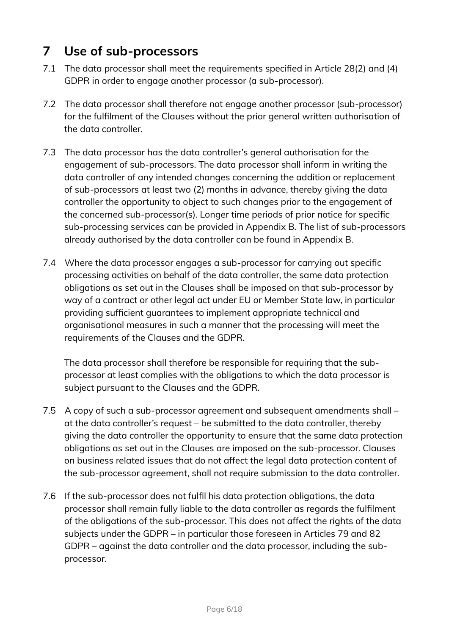# <span id="page-5-0"></span>**7 Use of sub-processors**

- 7.1 The data processor shall meet the requirements specified in Article 28(2) and (4) GDPR in order to engage another processor (a sub-processor).
- 7.2 The data processor shall therefore not engage another processor (sub-processor) for the fulfilment of the Clauses without the prior general written authorisation of the data controller.
- 7.3 The data processor has the data controller's general authorisation for the engagement of sub-processors. The data processor shall inform in writing the data controller of any intended changes concerning the addition or replacement of sub-processors at least two (2) months in advance, thereby giving the data controller the opportunity to object to such changes prior to the engagement of the concerned sub-processor(s). Longer time periods of prior notice for specific sub-processing services can be provided in Appendix B. The list of sub-processors already authorised by the data controller can be found in Appendix B.
- 7.4 Where the data processor engages a sub-processor for carrying out specific processing activities on behalf of the data controller, the same data protection obligations as set out in the Clauses shall be imposed on that sub-processor by way of a contract or other legal act under EU or Member State law, in particular providing sufficient guarantees to implement appropriate technical and organisational measures in such a manner that the processing will meet the requirements of the Clauses and the GDPR.

The data processor shall therefore be responsible for requiring that the subprocessor at least complies with the obligations to which the data processor is subject pursuant to the Clauses and the GDPR.

- 7.5 A copy of such a sub-processor agreement and subsequent amendments shall at the data controller's request – be submitted to the data controller, thereby giving the data controller the opportunity to ensure that the same data protection obligations as set out in the Clauses are imposed on the sub-processor. Clauses on business related issues that do not affect the legal data protection content of the sub-processor agreement, shall not require submission to the data controller.
- 7.6 If the sub-processor does not fulfil his data protection obligations, the data processor shall remain fully liable to the data controller as regards the fulfilment of the obligations of the sub-processor. This does not affect the rights of the data subjects under the GDPR – in particular those foreseen in Articles 79 and 82 GDPR – against the data controller and the data processor, including the subprocessor.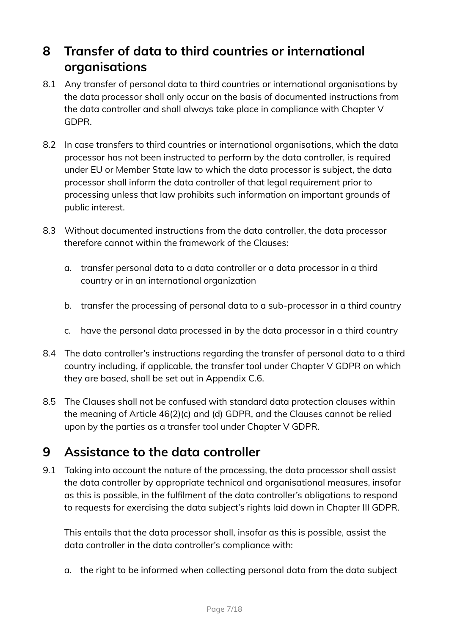## <span id="page-6-1"></span>**8 Transfer of data to third countries or international organisations**

- 8.1 Any transfer of personal data to third countries or international organisations by the data processor shall only occur on the basis of documented instructions from the data controller and shall always take place in compliance with Chapter V GDPR.
- 8.2 In case transfers to third countries or international organisations, which the data processor has not been instructed to perform by the data controller, is required under EU or Member State law to which the data processor is subject, the data processor shall inform the data controller of that legal requirement prior to processing unless that law prohibits such information on important grounds of public interest.
- 8.3 Without documented instructions from the data controller, the data processor therefore cannot within the framework of the Clauses:
	- a. transfer personal data to a data controller or a data processor in a third country or in an international organization
	- b. transfer the processing of personal data to a sub-processor in a third country
	- c. have the personal data processed in by the data processor in a third country
- 8.4 The data controller's instructions regarding the transfer of personal data to a third country including, if applicable, the transfer tool under Chapter V GDPR on which they are based, shall be set out in Appendix C.6.
- 8.5 The Clauses shall not be confused with standard data protection clauses within the meaning of Article 46(2)(c) and (d) GDPR, and the Clauses cannot be relied upon by the parties as a transfer tool under Chapter V GDPR.

### <span id="page-6-0"></span>**9 Assistance to the data controller**

9.1 Taking into account the nature of the processing, the data processor shall assist the data controller by appropriate technical and organisational measures, insofar as this is possible, in the fulfilment of the data controller's obligations to respond to requests for exercising the data subject's rights laid down in Chapter III GDPR.

This entails that the data processor shall, insofar as this is possible, assist the data controller in the data controller's compliance with:

a. the right to be informed when collecting personal data from the data subject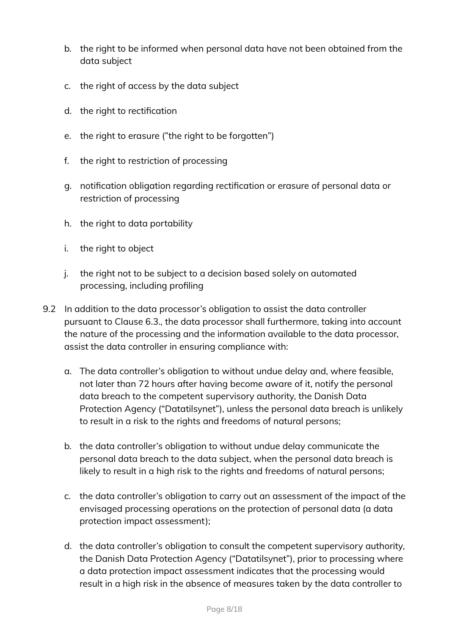- b. the right to be informed when personal data have not been obtained from the data subject
- c. the right of access by the data subject
- d. the right to rectification
- e. the right to erasure ("the right to be forgotten")
- f. the right to restriction of processing
- g. notification obligation regarding rectification or erasure of personal data or restriction of processing
- h. the right to data portability
- i. the right to object
- j. the right not to be subject to a decision based solely on automated processing, including profiling
- 9.2 In addition to the data processor's obligation to assist the data controller pursuant to Clause 6.3., the data processor shall furthermore, taking into account the nature of the processing and the information available to the data processor, assist the data controller in ensuring compliance with:
	- a. The data controller's obligation to without undue delay and, where feasible, not later than 72 hours after having become aware of it, notify the personal data breach to the competent supervisory authority, the Danish Data Protection Agency ("Datatilsynet"), unless the personal data breach is unlikely to result in a risk to the rights and freedoms of natural persons;
	- b. the data controller's obligation to without undue delay communicate the personal data breach to the data subject, when the personal data breach is likely to result in a high risk to the rights and freedoms of natural persons;
	- c. the data controller's obligation to carry out an assessment of the impact of the envisaged processing operations on the protection of personal data (a data protection impact assessment);
	- d. the data controller's obligation to consult the competent supervisory authority, the Danish Data Protection Agency ("Datatilsynet"), prior to processing where a data protection impact assessment indicates that the processing would result in a high risk in the absence of measures taken by the data controller to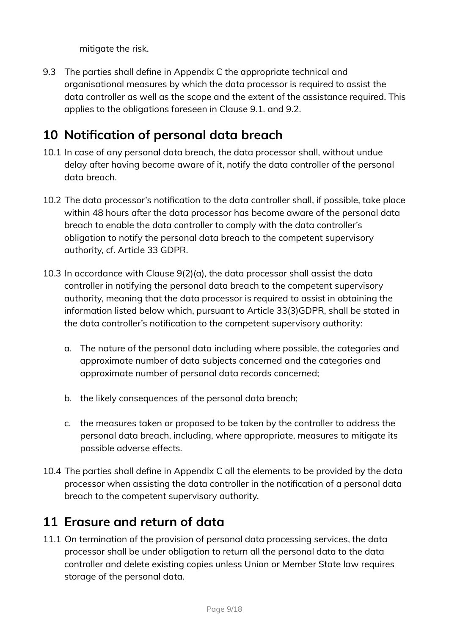mitigate the risk.

9.3 The parties shall define in Appendix C the appropriate technical and organisational measures by which the data processor is required to assist the data controller as well as the scope and the extent of the assistance required. This applies to the obligations foreseen in Clause 9.1. and 9.2.

# <span id="page-8-1"></span>**10 Notification of personal data breach**

- 10.1 In case of any personal data breach, the data processor shall, without undue delay after having become aware of it, notify the data controller of the personal data breach.
- 10.2 The data processor's notification to the data controller shall, if possible, take place within 48 hours after the data processor has become aware of the personal data breach to enable the data controller to comply with the data controller's obligation to notify the personal data breach to the competent supervisory authority, cf. Article 33 GDPR.
- 10.3 In accordance with Clause 9(2)(a), the data processor shall assist the data controller in notifying the personal data breach to the competent supervisory authority, meaning that the data processor is required to assist in obtaining the information listed below which, pursuant to Article 33(3)GDPR, shall be stated in the data controller's notification to the competent supervisory authority:
	- a. The nature of the personal data including where possible, the categories and approximate number of data subjects concerned and the categories and approximate number of personal data records concerned;
	- b. the likely consequences of the personal data breach;
	- c. the measures taken or proposed to be taken by the controller to address the personal data breach, including, where appropriate, measures to mitigate its possible adverse effects.
- 10.4 The parties shall define in Appendix C all the elements to be provided by the data processor when assisting the data controller in the notification of a personal data breach to the competent supervisory authority.

### <span id="page-8-0"></span>**11 Erasure and return of data**

11.1 On termination of the provision of personal data processing services, the data processor shall be under obligation to return all the personal data to the data controller and delete existing copies unless Union or Member State law requires storage of the personal data.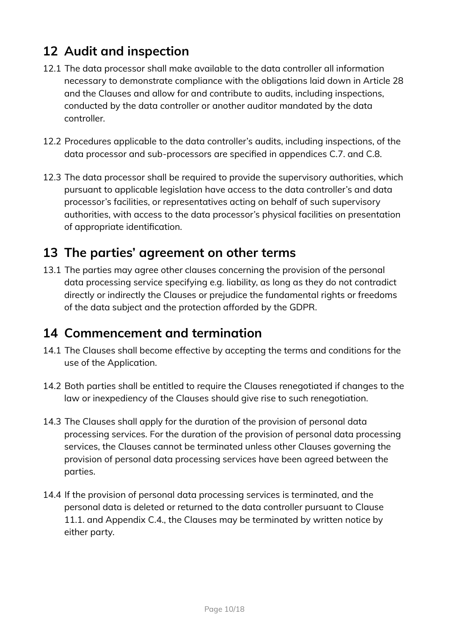# <span id="page-9-2"></span>**12 Audit and inspection**

- 12.1 The data processor shall make available to the data controller all information necessary to demonstrate compliance with the obligations laid down in Article 28 and the Clauses and allow for and contribute to audits, including inspections, conducted by the data controller or another auditor mandated by the data controller.
- 12.2 Procedures applicable to the data controller's audits, including inspections, of the data processor and sub-processors are specified in appendices C.7. and C.8.
- 12.3 The data processor shall be required to provide the supervisory authorities, which pursuant to applicable legislation have access to the data controller's and data processor's facilities, or representatives acting on behalf of such supervisory authorities, with access to the data processor's physical facilities on presentation of appropriate identification.

### <span id="page-9-1"></span>**13 The parties' agreement on other terms**

13.1 The parties may agree other clauses concerning the provision of the personal data processing service specifying e.g. liability, as long as they do not contradict directly or indirectly the Clauses or prejudice the fundamental rights or freedoms of the data subject and the protection afforded by the GDPR.

### <span id="page-9-0"></span>**14 Commencement and termination**

- 14.1 The Clauses shall become effective by accepting the terms and conditions for the use of the Application.
- 14.2 Both parties shall be entitled to require the Clauses renegotiated if changes to the law or inexpediency of the Clauses should give rise to such renegotiation.
- 14.3 The Clauses shall apply for the duration of the provision of personal data processing services. For the duration of the provision of personal data processing services, the Clauses cannot be terminated unless other Clauses governing the provision of personal data processing services have been agreed between the parties.
- 14.4 If the provision of personal data processing services is terminated, and the personal data is deleted or returned to the data controller pursuant to Clause 11.1. and Appendix C.4., the Clauses may be terminated by written notice by either party.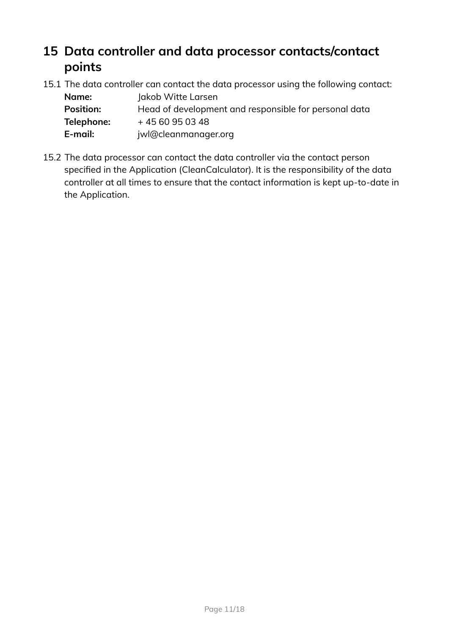## <span id="page-10-0"></span>**15 Data controller and data processor contacts/contact points**

15.1 The data controller can contact the data processor using the following contact:

| Name:            | Jakob Witte Larsen                                    |
|------------------|-------------------------------------------------------|
| <b>Position:</b> | Head of development and responsible for personal data |
| Telephone:       | +4560950348                                           |
| E-mail:          | jwl@cleanmanager.org                                  |

15.2 The data processor can contact the data controller via the contact person specified in the Application (CleanCalculator). It is the responsibility of the data controller at all times to ensure that the contact information is kept up-to-date in the Application.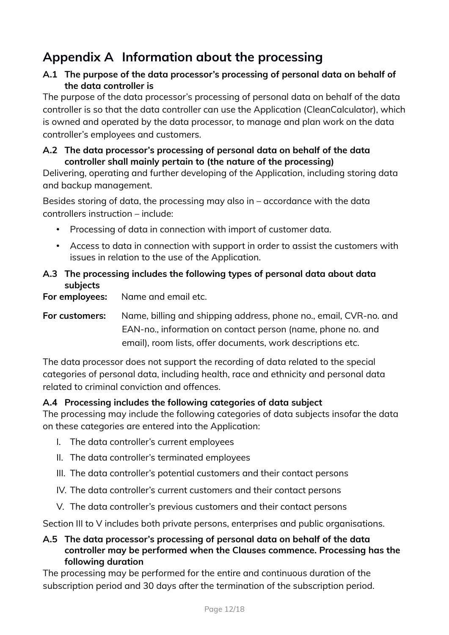# <span id="page-11-0"></span>**Appendix A Information about the processing**

#### **A.1 The purpose of the data processor's processing of personal data on behalf of the data controller is**

The purpose of the data processor's processing of personal data on behalf of the data controller is so that the data controller can use the Application (CleanCalculator), which is owned and operated by the data processor, to manage and plan work on the data controller's employees and customers.

#### **A.2 The data processor's processing of personal data on behalf of the data controller shall mainly pertain to (the nature of the processing)**

Delivering, operating and further developing of the Application, including storing data and backup management.

Besides storing of data, the processing may also in – accordance with the data controllers instruction – include:

- Processing of data in connection with import of customer data.
- Access to data in connection with support in order to assist the customers with issues in relation to the use of the Application.

#### **A.3 The processing includes the following types of personal data about data subjects**

**For employees:** Name and email etc.

**For customers:** Name, billing and shipping address, phone no., email, CVR-no. and EAN-no., information on contact person (name, phone no. and email), room lists, offer documents, work descriptions etc.

The data processor does not support the recording of data related to the special categories of personal data, including health, race and ethnicity and personal data related to criminal conviction and offences.

#### **A.4 Processing includes the following categories of data subject**

The processing may include the following categories of data subjects insofar the data on these categories are entered into the Application:

- I. The data controller's current employees
- II. The data controller's terminated employees
- III. The data controller's potential customers and their contact persons
- IV. The data controller's current customers and their contact persons
- V. The data controller's previous customers and their contact persons

Section III to V includes both private persons, enterprises and public organisations.

#### **A.5 The data processor's processing of personal data on behalf of the data controller may be performed when the Clauses commence. Processing has the following duration**

The processing may be performed for the entire and continuous duration of the subscription period and 30 days after the termination of the subscription period.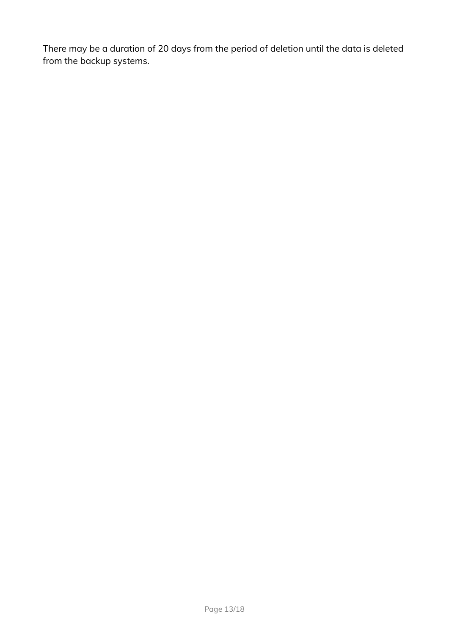There may be a duration of 20 days from the period of deletion until the data is deleted from the backup systems.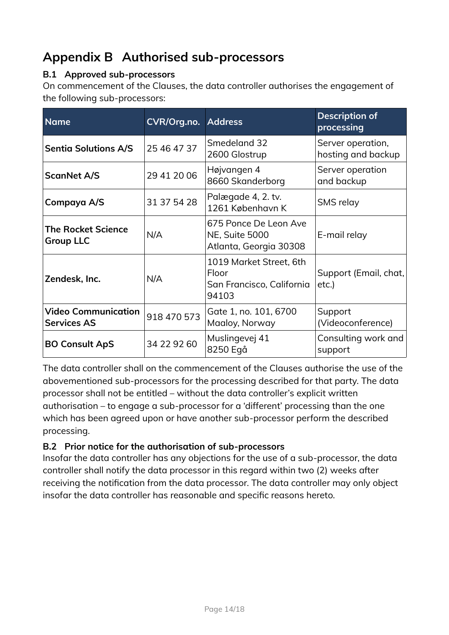# <span id="page-13-0"></span>**Appendix B Authorised sub-processors**

#### **B.1 Approved sub-processors**

On commencement of the Clauses, the data controller authorises the engagement of the following sub-processors:

| <b>Name</b>                                      | <b>CVR/Org.no. Address</b> |                                                                          | <b>Description of</b><br>processing     |
|--------------------------------------------------|----------------------------|--------------------------------------------------------------------------|-----------------------------------------|
| <b>Sentia Solutions A/S</b>                      | 25 46 47 37                | Smedeland 32<br>2600 Glostrup                                            | Server operation,<br>hosting and backup |
| <b>ScanNet A/S</b>                               | 29 41 20 06                | Højvangen 4<br>8660 Skanderborg                                          | Server operation<br>and backup          |
| Compaya A/S                                      | 31 37 54 28                | Palægade 4, 2. tv.<br>1261 København K                                   | SMS relay                               |
| <b>The Rocket Science</b><br><b>Group LLC</b>    | N/A                        | 675 Ponce De Leon Ave<br><b>NE, Suite 5000</b><br>Atlanta, Georgia 30308 | E-mail relay                            |
| Zendesk, Inc.                                    | N/A                        | 1019 Market Street, 6th<br>Floor<br>San Francisco, California<br>94103   | Support (Email, chat,<br>etc.)          |
| <b>Video Communication</b><br><b>Services AS</b> | 918 470 573                | Gate 1, no. 101, 6700<br>Maaloy, Norway                                  | Support<br>(Videoconference)            |
| <b>BO Consult ApS</b>                            | 34 22 92 60                | Muslingevej 41<br>8250 Egå                                               | Consulting work and<br>support          |

The data controller shall on the commencement of the Clauses authorise the use of the abovementioned sub-processors for the processing described for that party. The data processor shall not be entitled – without the data controller's explicit written authorisation – to engage a sub-processor for a 'different' processing than the one which has been agreed upon or have another sub-processor perform the described processing.

#### **B.2 Prior notice for the authorisation of sub-processors**

Insofar the data controller has any objections for the use of a sub-processor, the data controller shall notify the data processor in this regard within two (2) weeks after receiving the notification from the data processor. The data controller may only object insofar the data controller has reasonable and specific reasons hereto.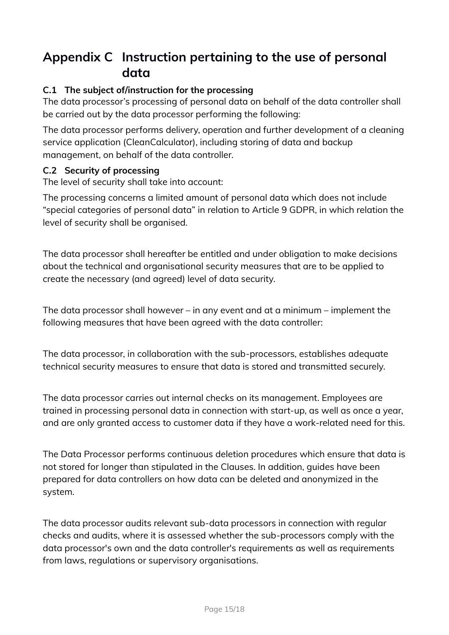# <span id="page-14-0"></span>**Appendix C Instruction pertaining to the use of personal data**

#### **C.1 The subject of/instruction for the processing**

The data processor's processing of personal data on behalf of the data controller shall be carried out by the data processor performing the following:

The data processor performs delivery, operation and further development of a cleaning service application (CleanCalculator), including storing of data and backup management, on behalf of the data controller.

#### **C.2 Security of processing**

The level of security shall take into account:

The processing concerns a limited amount of personal data which does not include "special categories of personal data" in relation to Article 9 GDPR, in which relation the level of security shall be organised.

The data processor shall hereafter be entitled and under obligation to make decisions about the technical and organisational security measures that are to be applied to create the necessary (and agreed) level of data security.

The data processor shall however – in any event and at a minimum – implement the following measures that have been agreed with the data controller:

The data processor, in collaboration with the sub-processors, establishes adequate technical security measures to ensure that data is stored and transmitted securely.

The data processor carries out internal checks on its management. Employees are trained in processing personal data in connection with start-up, as well as once a year, and are only granted access to customer data if they have a work-related need for this.

The Data Processor performs continuous deletion procedures which ensure that data is not stored for longer than stipulated in the Clauses. In addition, guides have been prepared for data controllers on how data can be deleted and anonymized in the system.

The data processor audits relevant sub-data processors in connection with regular checks and audits, where it is assessed whether the sub-processors comply with the data processor's own and the data controller's requirements as well as requirements from laws, regulations or supervisory organisations.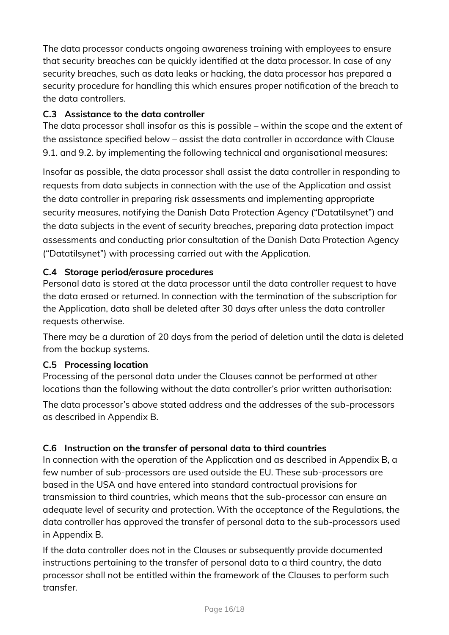The data processor conducts ongoing awareness training with employees to ensure that security breaches can be quickly identified at the data processor. In case of any security breaches, such as data leaks or hacking, the data processor has prepared a security procedure for handling this which ensures proper notification of the breach to the data controllers.

#### **C.3 Assistance to the data controller**

The data processor shall insofar as this is possible – within the scope and the extent of the assistance specified below – assist the data controller in accordance with Clause 9.1. and 9.2. by implementing the following technical and organisational measures:

Insofar as possible, the data processor shall assist the data controller in responding to requests from data subjects in connection with the use of the Application and assist the data controller in preparing risk assessments and implementing appropriate security measures, notifying the Danish Data Protection Agency ("Datatilsynet") and the data subjects in the event of security breaches, preparing data protection impact assessments and conducting prior consultation of the Danish Data Protection Agency ("Datatilsynet") with processing carried out with the Application.

#### **C.4 Storage period/erasure procedures**

Personal data is stored at the data processor until the data controller request to have the data erased or returned. In connection with the termination of the subscription for the Application, data shall be deleted after 30 days after unless the data controller requests otherwise.

There may be a duration of 20 days from the period of deletion until the data is deleted from the backup systems.

#### **C.5 Processing location**

Processing of the personal data under the Clauses cannot be performed at other locations than the following without the data controller's prior written authorisation:

The data processor's above stated address and the addresses of the sub-processors as described in Appendix B.

#### **C.6 Instruction on the transfer of personal data to third countries**

In connection with the operation of the Application and as described in Appendix B, a few number of sub-processors are used outside the EU. These sub-processors are based in the USA and have entered into standard contractual provisions for transmission to third countries, which means that the sub-processor can ensure an adequate level of security and protection. With the acceptance of the Regulations, the data controller has approved the transfer of personal data to the sub-processors used in Appendix B.

If the data controller does not in the Clauses or subsequently provide documented instructions pertaining to the transfer of personal data to a third country, the data processor shall not be entitled within the framework of the Clauses to perform such transfer.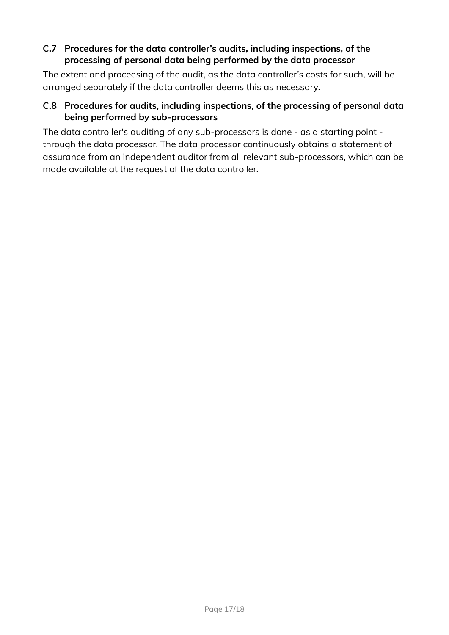#### **C.7 Procedures for the data controller's audits, including inspections, of the processing of personal data being performed by the data processor**

The extent and proceesing of the audit, as the data controller's costs for such, will be arranged separately if the data controller deems this as necessary.

#### **C.8 Procedures for audits, including inspections, of the processing of personal data being performed by sub-processors**

The data controller's auditing of any sub-processors is done - as a starting point through the data processor. The data processor continuously obtains a statement of assurance from an independent auditor from all relevant sub-processors, which can be made available at the request of the data controller.